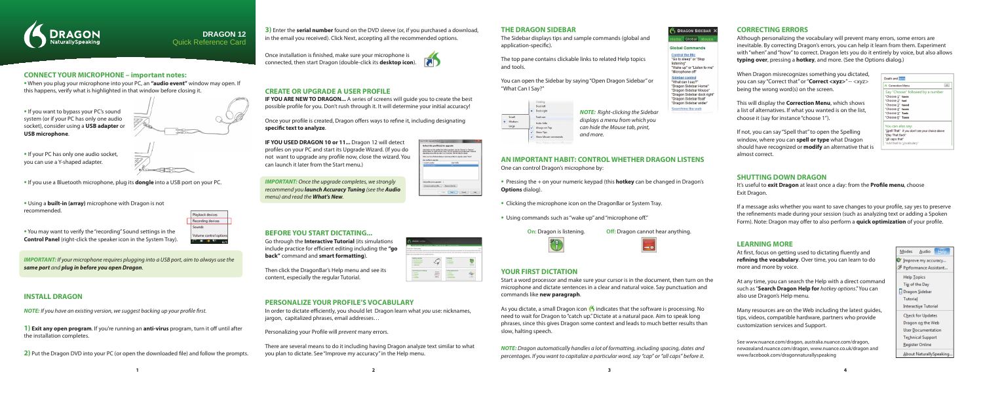

# **DRAGON 12** Quick Reference Card

**CONNECT YOUR MICROPHONE – important notes:**

**•** When you plug your microphone into your PC, an **"audio event"** window may open. If

this happens, verify what is highlighted in that window before closing it.

**•** If you want to bypass your PC's sound system (or if your PC has only one audio socket), consider using a **USB adapter** or

**•** You may want to verify the "recording" Sound settings in the **Control Panel** (right-click the speaker icon in the System Tray).

**USB microphone**.



**•** If your PC has only one audio socket, you can use a Y-shaped adapter.

**•** If you use a Bluetooth microphone, plug its **dongle** into a USB port on your PC.

**•** Using a **built-in (array)** microphone with Dragon is not recommended.

Playback devices Recording devices sounds olume control ontio

Once installation is finished, make sure your microphone is connected, then start Dragon (double-click its **desktop icon**).



**IF YOU ARE NEW TO DRAGON...** A series of screens will guide you to create the best possible profile for you. Don't rush through it. It will determine your initial accuracy!

Once your profile is created, Dragon offers ways to refine it, including designating specific text to analyze.

*IMPORTANT:* If your microphone requires plugging into a USB port, aim to always use the *same port* and *plug in before you open Dragon*.

# **INSTALL DRAGON**

**NOTE:** If you have an existing version, we suggest backing up your profile first.

**1) Exit any open program**. If you're running an **anti-virus** program, turn it off until after the installation completes.

**2)** Put the Dragon DVD into your PC (or open the downloaded file) and follow the prompts.



**IMPORTANT:** Once the upgrade completes, we strongly recommend you *launch Accuracy Tuning* (see the *Audio* menu) and read the *What's New*.

**3)** Enter the **serial number** found on the DVD sleeve (or, if you purchased a download, in the email you received). Click Next, accepting all the recommended options.

jargon, capitalized phrases, email addresses… Personalizing your Profile will *prevent* many errors.



ofile Upgrade Wizard

alact the profile(c) to unavade l below are the profiles that mil be upgraded. Use the "Browse" or "Remove"<br>ra below to modify the lat. Note: You can upgrade more profiles later if desired.<br>idno one profile can take 2 to 20 minutes. See the Help for deta .<br>There there are no compared to the company of the control of the control of the control of the control of the

ad Next Cancel Help

profiles to upgrade:

The Sidebar displays tips and sample commands (global and application-specific).

# **CREATE OR UPGRADE A USER PROFILE**

• Pressing the + on your numeric keypad (this **hotkey** can be changed **Options** dialog).

**IF YOU USED DRAGON 10 or 11...** Dragon 12 will detect profiles on your PC and start its Upgrade Wizard. (If you do not want to upgrade any profile now, close the wizard. You can launch it later from the Start menu.)

> As you dictate, a small Dragon icon  $\bigotimes$  indicates that the software is processing. No need to wait for Dragon to "catch up." Dictate at a natural pace. Aim to speak long phrases, since this gives Dragon some context and leads to much better results than slow, halting speech.

# **BEFORE YOU START DICTATING...**

Go through the **Interactive Tutorial** (its simulations include practice for efficient editing including the "go **back"** command and **smart formatting**).

Then click the DragonBar's Help menu and see its content, especially the regular Tutorial.

**PERSONALIZE YOUR PROFILE'S VOCABULARY**

It's useful to **exit Dragon** at least once a day: from the **Profile menu**, choose Exit Dragon.

If a message asks whether you want to save changes to your profile, say yes to preserve the refinements made during your session (such as analyzing text or adding a Spoken Form). Note: Dragon may offer to also perform a **quick optimization** of your profile.

There are several means to do it including having Dragon analyze text similar to what

# DRAGON SIDEBAR<sup>3</sup>

Global Mo

## **Global Commands**

**Control the Mic** "Go to sleep" or "Stop listening" "Wake up" or "Listen to me" "Microphone off"

### Sidebar control

"What can I say?" "Dragon Sidebar Home" "Dragon Sidebar Mouse" "Dragon Sidebar dock right "Dragon Sidebar float" "Dragon Sidebar wider"

Searching the web

|  |  | ed in Dragon's |
|--|--|----------------|
|--|--|----------------|

At first, focus on getting used to dictating fluently and **refining the vocabulary**. Over time, you can learn to do more and more by voice.

you plan to dictate. See "Improve my accuracy" in the Help menu.

### **THE DRAGON SIDEBAR**

The top pane contains clickable links to related Help topics and tools.

You can open the Sidebar by saying "Open Dragon Sidebar" or "What Can I Say?"



### **AN IMPORTANT HABIT: CONTROL WHETHER DRAGON LISTENS** One can control Dragon's microphone by:

- **•** Clicking the microphone icon on the DragonBar or System Tray.
- **•** Using commands such as "wake up" and "microphone off ."

**On:** Dragon is listening. **Off:** Dragon cannot hear anything.

| on cannot ne |  |
|--------------|--|
|              |  |

# **YOUR FIRST DICTATION**

Start a word processor and make sure your cursor is in the document, then turn on the microphone and dictate sentences in a clear and natural voice. Say punctuation and commands like **new paragraph**.

*NOTE:* Dragon automatically handles a lot of formatting, including spacing, dates and percentages. If you want to capitalize a particular word, say "cap" or "all caps" before it.

## **CORRECTING ERRORS**

Although personalizing the vocabulary will prevent many errors, some errors are inevitable. By correcting Dragon's errors, you can help it learn from them. Experiment with "when" and "how" to correct. Dragon lets you do it entirely by voice, but also allows **typing over**, pressing a **hotkey**, and more. (See the Options dialog.)

When Dragon misrecognizes something you dictated, you can say "Correct that" or "**Correct <xyz>**" -- <xyz> being the wrong word(s) on the screen.

This will display the **Correction Menu**, which shows a list of alternatives. If what you wanted is on the list, choose it (say for instance "choose 1").

If not, you can say "Spell that" to open the Spelling window, where you can **spell or type** what Dragon should have recognized or **modify** an alternative that is almost correct.

## **SHUTTING DOWN DRAGON**

### **LEARNING MORE**

At any time, you can search the Help with a direct command such as "**Search Dragon Help for** hotkey options." You can also use Dragon's Help menu.

Many resources are on the Web including the latest guides, tips, videos, compatible hardware, partners who provide customization services and Support.

See www.nuance.com/dragon, australia.nuance.com/dragon, newzealand.nuance.com/dragon, www.nuance.co.uk/dragon and www.facebook.com/dragonnaturallyspeaking





In order to dictate efficiently, you should let Dragon learn what you use: nicknames,